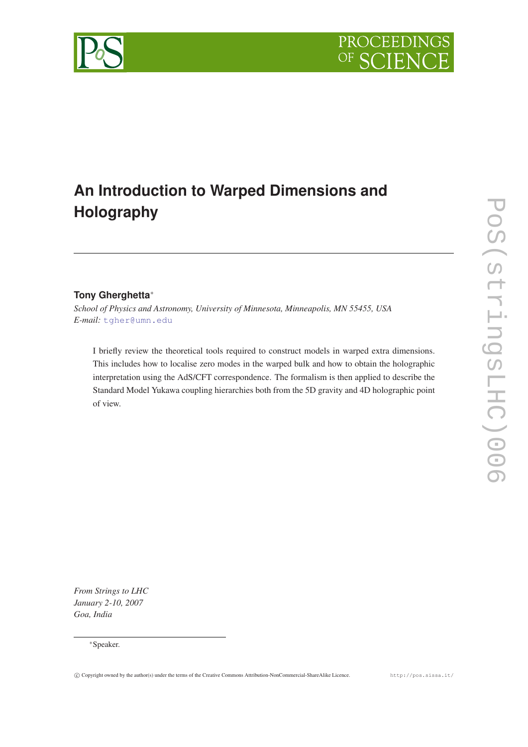# **An Introduction to Warped Dimensions and Holography**

## **Tony Gherghetta**<sup>∗</sup>

*School of Physics and Astronomy, University of Minnesota, Minneapolis, MN 55455, USA E-mail:* [tgher@umn.edu](mailto:tgher@umn.edu)

I briefly review the theoretical tools required to construct models in warped extra dimensions. This includes how to localise zero modes in the warped bulk and how to obtain the holographic interpretation using the AdS/CFT correspondence. The formalism is then applied to describe the Standard Model Yukawa coupling hierarchies both from the 5D gravity and 4D holographic point of view.

*From Strings to LHC January 2-10, 2007 Goa, India*

## <sup>∗</sup>Speaker.



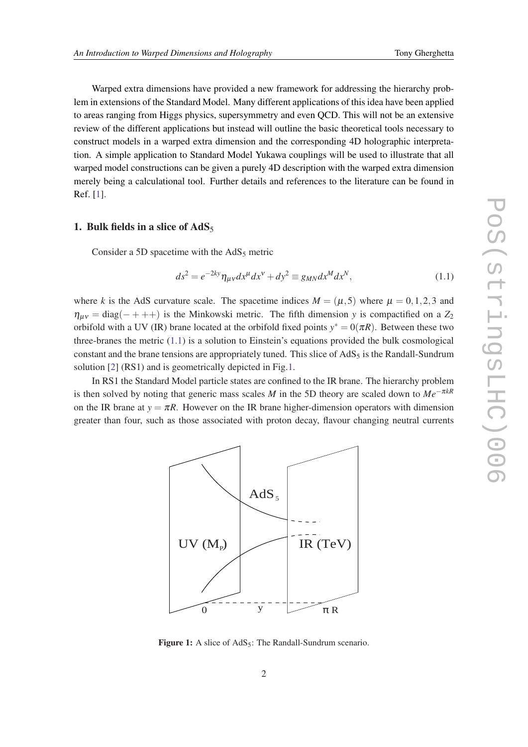<span id="page-1-0"></span>Warped extra dimensions have provided a new framework for addressing the hierarchy problem in extensions of the Standard Model. Many different applications of this idea have been applied to areas ranging from Higgs physics, supersymmetry and even QCD. This will not be an extensive review of the different applications but instead will outline the basic theoretical tools necessary to construct models in a warped extra dimension and the corresponding 4D holographic interpretation. A simple application to Standard Model Yukawa couplings will be used to illustrate that all warped model constructions can be given a purely 4D description with the warped extra dimension merely being a calculational tool. Further details and references to the literature can be found in Ref. [\[1\]](#page-12-0).

## 1. Bulk fields in a slice of  $AdS_5$

Consider a 5D spacetime with the  $AdS_5$  metric

$$
ds^2 = e^{-2ky} \eta_{\mu\nu} dx^{\mu} dx^{\nu} + dy^2 \equiv g_{MN} dx^M dx^N,
$$
\n(1.1)

where *k* is the AdS curvature scale. The spacetime indices  $M = (\mu, 5)$  where  $\mu = 0, 1, 2, 3$  and  $\eta_{\mu\nu} = \text{diag}(- + + +)$  is the Minkowski metric. The fifth dimension *y* is compactified on a  $Z_2$ orbifold with a UV (IR) brane located at the orbifold fixed points  $y^* = 0(\pi R)$ . Between these two three-branes the metric (1.1) is a solution to Einstein's equations provided the bulk cosmological constant and the brane tensions are appropriately tuned. This slice of  $AdS_5$  is the Randall-Sundrum solution [[2](#page-12-0)] (RS1) and is geometrically depicted in Fig.1.

In RS1 the Standard Model particle states are confined to the IR brane. The hierarchy problem is then solved by noting that generic mass scales *M* in the 5D theory are scaled down to  $Me^{-\pi kR}$ on the IR brane at  $y = \pi R$ . However on the IR brane higher-dimension operators with dimension greater than four, such as those associated with proton decay, flavour changing neutral currents



Figure 1: A slice of  $AdS_5$ : The Randall-Sundrum scenario.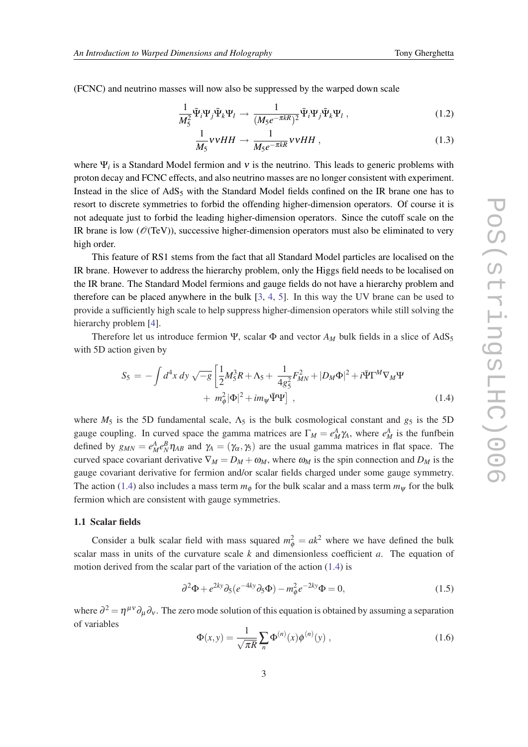<span id="page-2-0"></span>(FCNC) and neutrino masses will now also be suppressed by the warped down scale

$$
\frac{1}{M_5^2} \bar{\Psi}_i \Psi_j \bar{\Psi}_k \Psi_l \to \frac{1}{(M_5 e^{-\pi kR})^2} \bar{\Psi}_i \Psi_j \bar{\Psi}_k \Psi_l ,
$$
\n(1.2)

$$
\frac{1}{M_5} \nu vHH \to \frac{1}{M_5 e^{-\pi kR}} vvHH , \qquad (1.3)
$$

where  $\Psi_i$  is a Standard Model fermion and  $\nu$  is the neutrino. This leads to generic problems with proton decay and FCNC effects, and also neutrino masses are no longer consistent with experiment. Instead in the slice of  $AdS_5$  with the Standard Model fields confined on the IR brane one has to resort to discrete symmetries to forbid the offending higher-dimension operators. Of course it is not adequate just to forbid the leading higher-dimension operators. Since the cutoff scale on the IR brane is low ( $\mathcal{O}(TeV)$ ), successive higher-dimension operators must also be eliminated to very high order.

This feature of RS1 stems from the fact that all Standard Model particles are localised on the IR brane. However to address the hierarchy problem, only the Higgs field needs to be localised on the IR brane. The Standard Model fermions and gauge fields do not have a hierarchy problem and therefore can be placed anywhere in the bulk  $[3, 4, 5]$  $[3, 4, 5]$  $[3, 4, 5]$  $[3, 4, 5]$  $[3, 4, 5]$  $[3, 4, 5]$  $[3, 4, 5]$ . In this way the UV brane can be used to provide a sufficiently high scale to help suppress higher-dimension operators while still solving the hierarchy problem [[4](#page-12-0)].

Therefore let us introduce fermion  $\Psi$ , scalar  $\Phi$  and vector  $A_M$  bulk fields in a slice of AdS<sub>5</sub> with 5D action given by

$$
S_5 = -\int d^4x \, dy \, \sqrt{-g} \left[ \frac{1}{2} M_5^3 R + \Lambda_5 + \frac{1}{4g_5^2} F_{MN}^2 + |D_M \Phi|^2 + i \bar{\Psi} \Gamma^M \nabla_M \Psi \right. \\ + m_\phi^2 |\Phi|^2 + i m_\psi \bar{\Psi} \Psi] \,, \tag{1.4}
$$

where  $M_5$  is the 5D fundamental scale,  $\Lambda_5$  is the bulk cosmological constant and  $g_5$  is the 5D gauge coupling. In curved space the gamma matrices are  $\Gamma_M = e^A_M \gamma_A$ , where  $e^A_M$  is the funfbein defined by  $g_{MN} = e_M^A e_N^B \eta_{AB}$  and  $\gamma_A = (\gamma_\alpha, \gamma_5)$  are the usual gamma matrices in flat space. The curved space covariant derivative  $\nabla_M = D_M + \omega_M$ , where  $\omega_M$  is the spin connection and  $D_M$  is the gauge covariant derivative for fermion and/or scalar fields charged under some gauge symmetry. The action (1.4) also includes a mass term  $m_{\phi}$  for the bulk scalar and a mass term  $m_{\psi}$  for the bulk fermion which are consistent with gauge symmetries.

#### 1.1 Scalar fields

Consider a bulk scalar field with mass squared  $m_{\phi}^2 = a k^2$  where we have defined the bulk scalar mass in units of the curvature scale *k* and dimensionless coefficient *a*. The equation of motion derived from the scalar part of the variation of the action (1.4) is

$$
\partial^2 \Phi + e^{2ky} \partial_5 (e^{-4ky} \partial_5 \Phi) - m_\phi^2 e^{-2ky} \Phi = 0, \qquad (1.5)
$$

where  $\partial^2 = \eta^{\mu\nu}\partial_\mu\partial_\nu$ . The zero mode solution of this equation is obtained by assuming a separation of variables

$$
\Phi(x, y) = \frac{1}{\sqrt{\pi R}} \sum_{n} \Phi^{(n)}(x) \phi^{(n)}(y) ,
$$
\n(1.6)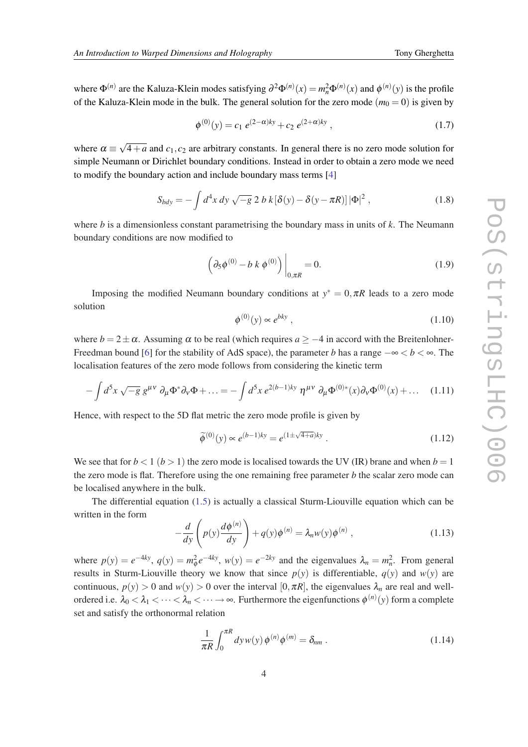<span id="page-3-0"></span>where  $\Phi^{(n)}$  are the Kaluza-Klein modes satisfying  $\partial^2 \Phi^{(n)}(x) = m_n^2 \Phi^{(n)}(x)$  and  $\phi^{(n)}(y)$  is the profile of the Kaluza-Klein mode in the bulk. The general solution for the zero mode  $(m_0 = 0)$  is given by

$$
\phi^{(0)}(y) = c_1 e^{(2-\alpha)ky} + c_2 e^{(2+\alpha)ky}, \qquad (1.7)
$$

where  $\alpha \equiv$ √  $4+a$  and  $c_1$ ,  $c_2$  are arbitrary constants. In general there is no zero mode solution for simple Neumann or Dirichlet boundary conditions. Instead in order to obtain a zero mode we need to modify the boundary action and include boundary mass terms [[4](#page-12-0)]

$$
S_{bdy} = -\int d^4x \, dy \, \sqrt{-g} \, 2 \, b \, k \left[\delta(y) - \delta(y - \pi R)\right] |\Phi|^2 \,, \tag{1.8}
$$

where *b* is a dimensionless constant parametrising the boundary mass in units of *k*. The Neumann boundary conditions are now modified to

$$
\left(\partial_5 \phi^{(0)} - b k \phi^{(0)}\right)\Big|_{0,\pi R} = 0.
$$
\n(1.9)

Imposing the modified Neumann boundary conditions at  $y^* = 0, \pi R$  leads to a zero mode solution

$$
\phi^{(0)}(y) \propto e^{bky} \,,\tag{1.10}
$$

where  $b = 2 \pm \alpha$ . Assuming  $\alpha$  to be real (which requires  $a \ge -4$  in accord with the Breitenlohner-Freedman bound [\[6\]](#page-12-0) for the stability of AdS space), the parameter *b* has a range  $-\infty < b < \infty$ . The localisation features of the zero mode follows from considering the kinetic term

$$
-\int d^5x \sqrt{-g} \ g^{\mu\nu} \ \partial_\mu \Phi^* \partial_\nu \Phi + \dots = -\int d^5x \ e^{2(b-1)ky} \ \eta^{\mu\nu} \ \partial_\mu \Phi^{(0)*}(x) \partial_\nu \Phi^{(0)}(x) + \dots \tag{1.11}
$$

Hence, with respect to the 5D flat metric the zero mode profile is given by

$$
\widetilde{\phi}^{(0)}(y) \propto e^{(b-1)ky} = e^{(1 \pm \sqrt{4+a})ky} \,. \tag{1.12}
$$

We see that for  $b < 1$  ( $b > 1$ ) the zero mode is localised towards the UV (IR) brane and when  $b = 1$ the zero mode is flat. Therefore using the one remaining free parameter *b* the scalar zero mode can be localised anywhere in the bulk.

The differential equation [\(1.5\)](#page-2-0) is actually a classical Sturm-Liouville equation which can be written in the form

$$
-\frac{d}{dy}\left(p(y)\frac{d\phi^{(n)}}{dy}\right) + q(y)\phi^{(n)} = \lambda_n w(y)\phi^{(n)},\qquad(1.13)
$$

where  $p(y) = e^{-4ky}$ ,  $q(y) = m_{\phi}^2 e^{-4ky}$ ,  $w(y) = e^{-2ky}$  and the eigenvalues  $\lambda_n = m_n^2$ . From general results in Sturm-Liouville theory we know that since  $p(y)$  is differentiable,  $q(y)$  and  $w(y)$  are continuous,  $p(y) > 0$  and  $w(y) > 0$  over the interval [0, $\pi R$ ], the eigenvalues  $\lambda_n$  are real and wellordered i.e.  $\lambda_0 < \lambda_1 < \cdots < \lambda_n < \cdots \to \infty$ . Furthermore the eigenfunctions  $\phi^{(n)}(y)$  form a complete set and satisfy the orthonormal relation

$$
\frac{1}{\pi R} \int_0^{\pi R} dy w(y) \phi^{(n)} \phi^{(m)} = \delta_{nm} . \qquad (1.14)
$$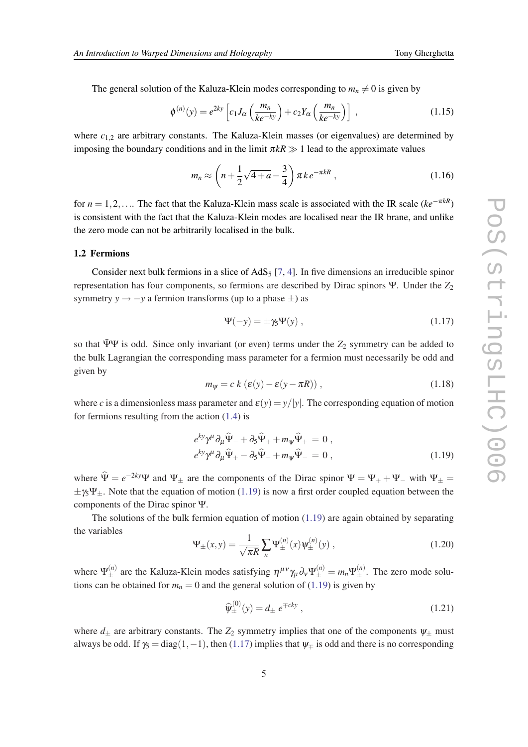<span id="page-4-0"></span>The general solution of the Kaluza-Klein modes corresponding to  $m_n \neq 0$  is given by

$$
\phi^{(n)}(y) = e^{2ky} \left[ c_1 J_\alpha \left( \frac{m_n}{ke^{-ky}} \right) + c_2 Y_\alpha \left( \frac{m_n}{ke^{-ky}} \right) \right],
$$
\n(1.15)

where  $c_{1,2}$  are arbitrary constants. The Kaluza-Klein masses (or eigenvalues) are determined by imposing the boundary conditions and in the limit  $\pi kR \gg 1$  lead to the approximate values

$$
m_n \approx \left(n + \frac{1}{2}\sqrt{4+a} - \frac{3}{4}\right)\pi k e^{-\pi kR},\qquad(1.16)
$$

for  $n = 1, 2, \ldots$  The fact that the Kaluza-Klein mass scale is associated with the IR scale ( $ke^{-\pi kR}$ ) is consistent with the fact that the Kaluza-Klein modes are localised near the IR brane, and unlike the zero mode can not be arbitrarily localised in the bulk.

#### 1.2 Fermions

Consider next bulk fermions in a slice of  $AdS_5$  [\[7,](#page-12-0) [4\]](#page-12-0). In five dimensions an irreducible spinor representation has four components, so fermions are described by Dirac spinors Ψ. Under the *Z*<sup>2</sup> symmetry  $y \rightarrow -y$  a fermion transforms (up to a phase  $\pm$ ) as

$$
\Psi(-y) = \pm \gamma_5 \Psi(y) , \qquad (1.17)
$$

so that  $\Psi\Psi$  is odd. Since only invariant (or even) terms under the  $Z_2$  symmetry can be added to the bulk Lagrangian the corresponding mass parameter for a fermion must necessarily be odd and given by

$$
m_{\psi} = c k \left( \varepsilon(y) - \varepsilon(y - \pi R) \right), \tag{1.18}
$$

where *c* is a dimensionless mass parameter and  $\varepsilon(y) = y/|y|$ . The corresponding equation of motion for fermions resulting from the action [\(1.4\)](#page-2-0) is

$$
e^{ky}\gamma^{\mu}\partial_{\mu}\hat{\Psi}_{-} + \partial_{5}\hat{\Psi}_{+} + m_{\psi}\hat{\Psi}_{+} = 0 ,
$$
  
\n
$$
e^{ky}\gamma^{\mu}\partial_{\mu}\hat{\Psi}_{+} - \partial_{5}\hat{\Psi}_{-} + m_{\psi}\hat{\Psi}_{-} = 0 ,
$$
\n(1.19)

where  $\hat{\Psi} = e^{-2ky}\Psi$  and  $\Psi_{\pm}$  are the components of the Dirac spinor  $\Psi = \Psi_{+} + \Psi_{-}$  with  $\Psi_{\pm} =$  $\pm \gamma_5 \Psi_+$ . Note that the equation of motion (1.19) is now a first order coupled equation between the components of the Dirac spinor Ψ.

The solutions of the bulk fermion equation of motion  $(1.19)$  are again obtained by separating the variables

$$
\Psi_{\pm}(x,y) = \frac{1}{\sqrt{\pi R}} \sum_{n} \Psi_{\pm}^{(n)}(x) \Psi_{\pm}^{(n)}(y) , \qquad (1.20)
$$

where  $\Psi_{\pm}^{(n)}$  are the Kaluza-Klein modes satisfying  $\eta^{\mu\nu}\gamma_{\mu}\partial_{\nu}\Psi_{\pm}^{(n)}=m_n\Psi_{\pm}^{(n)}$ . The zero mode solutions can be obtained for  $m_n = 0$  and the general solution of (1.19) is given by

$$
\widehat{\Psi}_{\pm}^{(0)}(y) = d_{\pm} e^{\mp cky}, \qquad (1.21)
$$

where  $d_{\pm}$  are arbitrary constants. The  $Z_2$  symmetry implies that one of the components  $\psi_{\pm}$  must always be odd. If  $\gamma_5 = \text{diag}(1, -1)$ , then (1.17) implies that  $\psi_{\mp}$  is odd and there is no corresponding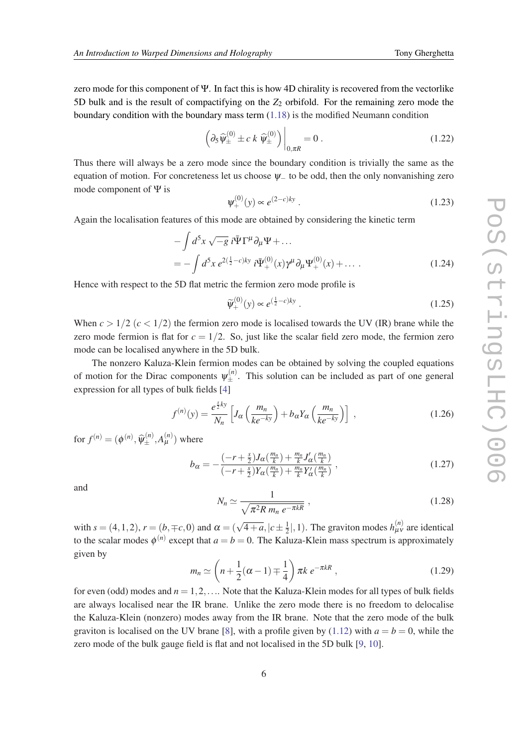zero mode for this component of Ψ. In fact this is how 4D chirality is recovered from the vectorlike 5D bulk and is the result of compactifying on the *Z*<sup>2</sup> orbifold. For the remaining zero mode the boundary condition with the boundary mass term [\(1.18](#page-4-0)) is the modified Neumann condition

$$
\left(\partial_5 \widehat{\psi}_{\pm}^{(0)} \pm c \, k \, \widehat{\psi}_{\pm}^{(0)}\right)\bigg|_{0,\pi R} = 0 \,. \tag{1.22}
$$

Thus there will always be a zero mode since the boundary condition is trivially the same as the equation of motion. For concreteness let us choose  $\psi$  to be odd, then the only nonvanishing zero mode component of Ψ is

$$
\Psi_{+}^{(0)}(y) \propto e^{(2-c)ky} \ . \tag{1.23}
$$

Again the localisation features of this mode are obtained by considering the kinetic term

$$
-\int d^5x \sqrt{-g} i \bar{\Psi} \Gamma^{\mu} \partial_{\mu} \Psi + ... = -\int d^5x e^{2(\frac{1}{2}-c)ky} i \bar{\Psi}^{(0)}_{+}(x) \gamma^{\mu} \partial_{\mu} \Psi^{(0)}_{+}(x) + ...
$$
 (1.24)

Hence with respect to the 5D flat metric the fermion zero mode profile is

$$
\widetilde{\Psi}_{+}^{(0)}(y) \propto e^{\left(\frac{1}{2} - c\right)ky} \ . \tag{1.25}
$$

When  $c > 1/2$  ( $c < 1/2$ ) the fermion zero mode is localised towards the UV (IR) brane while the zero mode fermion is flat for  $c = 1/2$ . So, just like the scalar field zero mode, the fermion zero mode can be localised anywhere in the 5D bulk.

The nonzero Kaluza-Klein fermion modes can be obtained by solving the coupled equations of motion for the Dirac components  $\psi_{\pm}^{(n)}$ . This solution can be included as part of one general expression for all types of bulk fields [\[4\]](#page-12-0)

$$
f^{(n)}(y) = \frac{e^{\frac{s}{2}ky}}{N_n} \left[ J_\alpha \left( \frac{m_n}{ke^{-ky}} \right) + b_\alpha Y_\alpha \left( \frac{m_n}{ke^{-ky}} \right) \right] \,, \tag{1.26}
$$

for  $f^{(n)} = (\phi^{(n)}, \widehat{\psi}_{\pm}^{(n)}, A_{\mu}^{(n)})$  where

$$
b_{\alpha} = -\frac{(-r+\frac{s}{2})J_{\alpha}(\frac{m_n}{k}) + \frac{m_n}{k}J'_{\alpha}(\frac{m_n}{k})}{(-r+\frac{s}{2})Y_{\alpha}(\frac{m_n}{k}) + \frac{m_n}{k}Y'_{\alpha}(\frac{m_n}{k})},
$$
\n(1.27)

and

$$
N_n \simeq \frac{1}{\sqrt{\pi^2 R \, m_n \, e^{-\pi k R}}} \,,\tag{1.28}
$$

with  $s = (4, 1, 2)$ ,  $r = (b, \mp c, 0)$  and  $\alpha = (\sqrt{4 + a}, |c \pm \frac{1}{2})$  $\frac{1}{2}$ , 1). The graviton modes  $h_{\mu\nu}^{(n)}$  are identical to the scalar modes  $\phi^{(n)}$  except that  $a = b = 0$ . The Kaluza-Klein mass spectrum is approximately given by

$$
m_n \simeq \left(n + \frac{1}{2}(\alpha - 1) \mp \frac{1}{4}\right) \pi k \, e^{-\pi k R} \,, \tag{1.29}
$$

for even (odd) modes and *n* = 1,2,.... Note that the Kaluza-Klein modes for all types of bulk fields are always localised near the IR brane. Unlike the zero mode there is no freedom to delocalise the Kaluza-Klein (nonzero) modes away from the IR brane. Note that the zero mode of the bulk graviton is localised on the UV brane [[8](#page-12-0)], with a profile given by [\(1.12](#page-3-0)) with  $a = b = 0$ , while the zero mode of the bulk gauge field is flat and not localised in the 5D bulk [[9](#page-12-0), [10](#page-12-0)].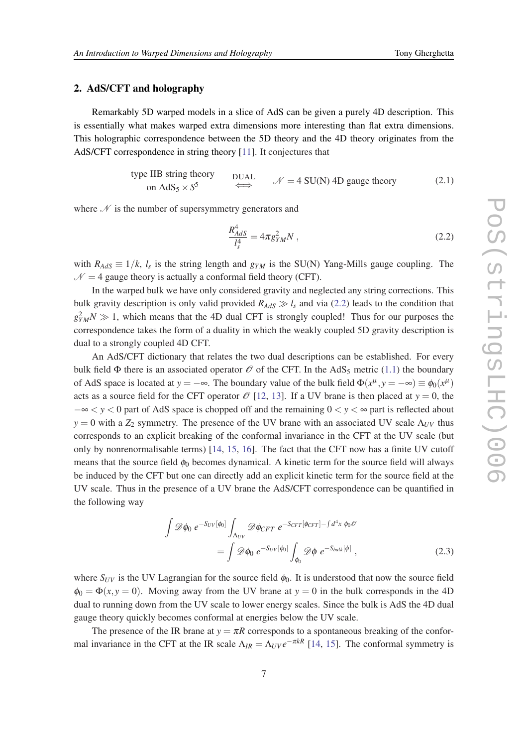### 2. AdS/CFT and holography

Remarkably 5D warped models in a slice of AdS can be given a purely 4D description. This is essentially what makes warped extra dimensions more interesting than flat extra dimensions. This holographic correspondence between the 5D theory and the 4D theory originates from the AdS/CFT correspondence in string theory [[11\]](#page-12-0). It conjectures that

type IIB string theory  
on AdS<sub>5</sub> × S<sup>5</sup> 
$$
\iff
$$
 DUAL  
 $\mathcal{N} = 4$  SU(N) 4D gauge theory (2.1)

where  $\mathcal N$  is the number of supersymmetry generators and

$$
\frac{R_{AdS}^4}{l_s^4} = 4\pi g_{YM}^2 N \,,\tag{2.2}
$$

with  $R_{AdS} \equiv 1/k$ ,  $l_s$  is the string length and  $g_{YM}$  is the SU(N) Yang-Mills gauge coupling. The  $N = 4$  gauge theory is actually a conformal field theory (CFT).

In the warped bulk we have only considered gravity and neglected any string corrections. This bulk gravity description is only valid provided  $R_{AdS} \gg l_s$  and via (2.2) leads to the condition that  $g_{YM}^2 N \gg 1$ , which means that the 4D dual CFT is strongly coupled! Thus for our purposes the correspondence takes the form of a duality in which the weakly coupled 5D gravity description is dual to a strongly coupled 4D CFT.

An AdS/CFT dictionary that relates the two dual descriptions can be established. For every bulk field  $\Phi$  there is an associated operator  $\mathcal O$  of the CFT. In the AdS<sub>5</sub> metric ([1.1](#page-1-0)) the boundary of AdS space is located at  $y = -\infty$ . The boundary value of the bulk field  $\Phi(x^{\mu}, y = -\infty) \equiv \phi_0(x^{\mu})$ acts as a source field for the CFT operator  $\mathcal{O}$  [\[12](#page-12-0), [13\]](#page-12-0). If a UV brane is then placed at  $y = 0$ , the −∞ < *y* < 0 part of AdS space is chopped off and the remaining 0 < *y* < ∞ part is reflected about  $y = 0$  with a *Z*<sub>2</sub> symmetry. The presence of the UV brane with an associated UV scale  $\Lambda_{UV}$  thus corresponds to an explicit breaking of the conformal invariance in the CFT at the UV scale (but only by nonrenormalisable terms) [\[14](#page-12-0), [15,](#page-12-0) [16\]](#page-12-0). The fact that the CFT now has a finite UV cutoff means that the source field  $\phi_0$  becomes dynamical. A kinetic term for the source field will always be induced by the CFT but one can directly add an explicit kinetic term for the source field at the UV scale. Thus in the presence of a UV brane the AdS/CFT correspondence can be quantified in the following way

$$
\int \mathscr{D}\phi_0 \ e^{-S_{UV}[\phi_0]} \int_{\Lambda_{UV}} \mathscr{D}\phi_{CFT} \ e^{-S_{CFT}[\phi_{CFT}] - \int d^4x \ \phi_0 \mathscr{O}} \n= \int \mathscr{D}\phi_0 \ e^{-S_{UV}[\phi_0]} \int_{\phi_0} \mathscr{D}\phi \ e^{-S_{bulk}[\phi]} \ ,
$$
\n(2.3)

where  $S_{UV}$  is the UV Lagrangian for the source field  $\phi_0$ . It is understood that now the source field  $\phi_0 = \Phi(x, y = 0)$ . Moving away from the UV brane at  $y = 0$  in the bulk corresponds in the 4D dual to running down from the UV scale to lower energy scales. Since the bulk is AdS the 4D dual gauge theory quickly becomes conformal at energies below the UV scale.

The presence of the IR brane at  $y = \pi R$  corresponds to a spontaneous breaking of the conformal invariance in the CFT at the IR scale  $\Lambda_{IR} = \Lambda_{UV} e^{-\pi kR}$  [[14](#page-12-0), [15](#page-12-0)]. The conformal symmetry is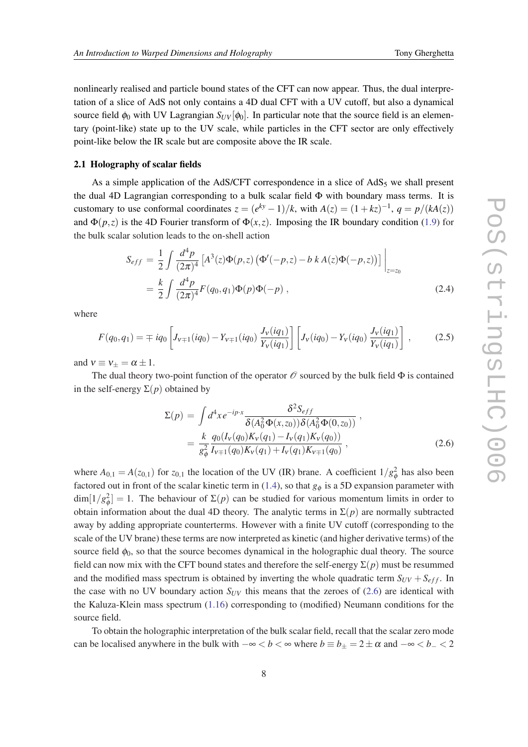nonlinearly realised and particle bound states of the CFT can now appear. Thus, the dual interpretation of a slice of AdS not only contains a 4D dual CFT with a UV cutoff, but also a dynamical source field  $\phi_0$  with UV Lagrangian  $S_{UV}[\phi_0]$ . In particular note that the source field is an elementary (point-like) state up to the UV scale, while particles in the CFT sector are only effectively point-like below the IR scale but are composite above the IR scale.

#### 2.1 Holography of scalar fields

As a simple application of the AdS/CFT correspondence in a slice of  $AdS_5$  we shall present the dual 4D Lagrangian corresponding to a bulk scalar field  $\Phi$  with boundary mass terms. It is customary to use conformal coordinates  $z = (e^{ky} - 1)/k$ , with  $A(z) = (1 + kz)^{-1}$ ,  $q = p/(kA(z))$ and  $\Phi(p,z)$  is the 4D Fourier transform of  $\Phi(x,z)$ . Imposing the IR boundary condition ([1.9](#page-3-0)) for the bulk scalar solution leads to the on-shell action

$$
S_{eff} = \frac{1}{2} \int \frac{d^4 p}{(2\pi)^4} \left[ A^3(z) \Phi(p, z) \left( \Phi'(-p, z) - b k A(z) \Phi(-p, z) \right) \right] \Big|_{z=z_0}
$$
  
=  $\frac{k}{2} \int \frac{d^4 p}{(2\pi)^4} F(q_0, q_1) \Phi(p) \Phi(-p)$ , (2.4)

where

$$
F(q_0, q_1) = \mp i q_0 \left[ J_{v \mp 1}(iq_0) - Y_{v \mp 1}(iq_0) \frac{J_v(iq_1)}{Y_v(iq_1)} \right] \left[ J_v(iq_0) - Y_v(iq_0) \frac{J_v(iq_1)}{Y_v(iq_1)} \right],
$$
 (2.5)

and  $v \equiv v_{\pm} = \alpha \pm 1$ .

The dual theory two-point function of the operator  $\mathcal O$  sourced by the bulk field  $\Phi$  is contained in the self-energy  $\Sigma(p)$  obtained by

$$
\Sigma(p) = \int d^4x e^{-ip\cdot x} \frac{\delta^2 S_{eff}}{\delta(A_0^2 \Phi(x, z_0)) \delta(A_0^2 \Phi(0, z_0))},
$$
  
= 
$$
\frac{k}{g_{\phi}^2} \frac{q_0(I_V(q_0)K_V(q_1) - I_V(q_1)K_V(q_0))}{I_{V+1}(q_0)K_V(q_1) + I_V(q_1)K_{V+1}(q_0)},
$$
 (2.6)

where  $A_{0,1} = A(z_{0,1})$  for  $z_{0,1}$  the location of the UV (IR) brane. A coefficient  $1/g_{\phi}^2$  has also been factored out in front of the scalar kinetic term in ([1.4](#page-2-0)), so that  $g_{\phi}$  is a 5D expansion parameter with  $\dim[1/g_{\phi}^2] = 1$ . The behaviour of  $\Sigma(p)$  can be studied for various momentum limits in order to obtain information about the dual 4D theory. The analytic terms in  $\Sigma(p)$  are normally subtracted away by adding appropriate counterterms. However with a finite UV cutoff (corresponding to the scale of the UV brane) these terms are now interpreted as kinetic (and higher derivative terms) of the source field  $\phi_0$ , so that the source becomes dynamical in the holographic dual theory. The source field can now mix with the CFT bound states and therefore the self-energy  $\Sigma(p)$  must be resummed and the modified mass spectrum is obtained by inverting the whole quadratic term  $S_{UV} + S_{eff}$ . In the case with no UV boundary action  $S_{UV}$  this means that the zeroes of (2.6) are identical with the Kaluza-Klein mass spectrum [\(1.16\)](#page-4-0) corresponding to (modified) Neumann conditions for the source field.

To obtain the holographic interpretation of the bulk scalar field, recall that the scalar zero mode can be localised anywhere in the bulk with  $-\infty < b < \infty$  where  $b \equiv b_{\pm} = 2 \pm \alpha$  and  $-\infty < b_{-} < 2$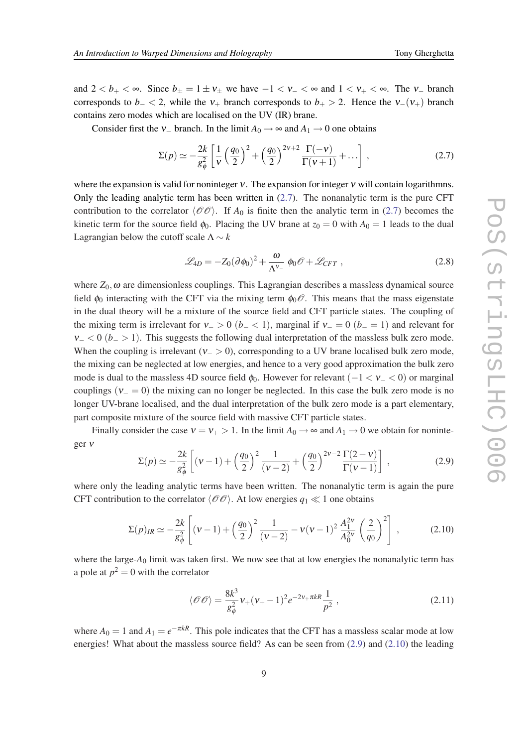<span id="page-8-0"></span>and  $2 < b_+ < \infty$ . Since  $b_{\pm} = 1 \pm v_{\pm}$  we have  $-1 < v_- < \infty$  and  $1 < v_+ < \infty$ . The v<sub>-</sub> branch corresponds to *b*− < 2, while the  $v_+$  branch corresponds to *b*+ > 2. Hence the  $v_-(v_+)$  branch contains zero modes which are localised on the UV (IR) brane.

Consider first the  $v_+$  branch. In the limit  $A_0 \rightarrow \infty$  and  $A_1 \rightarrow 0$  one obtains

$$
\Sigma(p) \simeq -\frac{2k}{g_{\phi}^2} \left[ \frac{1}{v} \left( \frac{q_0}{2} \right)^2 + \left( \frac{q_0}{2} \right)^{2v+2} \frac{\Gamma(-v)}{\Gamma(v+1)} + \dots \right] , \qquad (2.7)
$$

where the expansion is valid for noninteger  $v$ . The expansion for integer  $v$  will contain logarithmns. Only the leading analytic term has been written in (2.7). The nonanalytic term is the pure CFT contribution to the correlator  $\langle \mathcal{O}\mathcal{O}\rangle$ . If *A*<sub>0</sub> is finite then the analytic term in (2.7) becomes the kinetic term for the source field  $\phi_0$ . Placing the UV brane at  $z_0 = 0$  with  $A_0 = 1$  leads to the dual Lagrangian below the cutoff scale  $\Lambda \sim k$ 

$$
\mathcal{L}_{4D} = -Z_0 (\partial \phi_0)^2 + \frac{\omega}{\Lambda^{V_-}} \phi_0 \mathcal{O} + \mathcal{L}_{CFT} ,
$$
 (2.8)

where  $Z_0$ ,  $\omega$  are dimensionless couplings. This Lagrangian describes a massless dynamical source field  $\phi_0$  interacting with the CFT via the mixing term  $\phi_0 \mathscr{O}$ . This means that the mass eigenstate in the dual theory will be a mixture of the source field and CFT particle states. The coupling of the mixing term is irrelevant for  $v_$  > 0 ( $b_$  < 1), marginal if  $v_$  = 0 ( $b_$  = 1) and relevant for  $v<sub>−</sub> < 0$  (*b*<sub>−</sub> > 1). This suggests the following dual interpretation of the massless bulk zero mode. When the coupling is irrelevant ( $v_$  > 0), corresponding to a UV brane localised bulk zero mode, the mixing can be neglected at low energies, and hence to a very good approximation the bulk zero mode is dual to the massless 4D source field  $\phi_0$ . However for relevant (-1 < v\_ < 0) or marginal couplings ( $v_0 = 0$ ) the mixing can no longer be neglected. In this case the bulk zero mode is no longer UV-brane localised, and the dual interpretation of the bulk zero mode is a part elementary, part composite mixture of the source field with massive CFT particle states.

Finally consider the case  $v = v_+ > 1$ . In the limit  $A_0 \rightarrow \infty$  and  $A_1 \rightarrow 0$  we obtain for noninteger ν

$$
\Sigma(p) \simeq -\frac{2k}{g_{\phi}^{2}} \left[ (v-1) + \left( \frac{q_0}{2} \right)^2 \frac{1}{(v-2)} + \left( \frac{q_0}{2} \right)^{2v-2} \frac{\Gamma(2-v)}{\Gamma(v-1)} \right] , \qquad (2.9)
$$

where only the leading analytic terms have been written. The nonanalytic term is again the pure CFT contribution to the correlator  $\langle \mathcal{O}\mathcal{O} \rangle$ . At low energies  $q_1 \ll 1$  one obtains

$$
\Sigma(p)_{IR} \simeq -\frac{2k}{g_{\phi}^2} \left[ (\nu - 1) + \left( \frac{q_0}{2} \right)^2 \frac{1}{(\nu - 2)} - \nu (\nu - 1)^2 \frac{A_1^{2\nu}}{A_0^{2\nu}} \left( \frac{2}{q_0} \right)^2 \right] , \tag{2.10}
$$

where the large-A<sub>0</sub> limit was taken first. We now see that at low energies the nonanalytic term has a pole at  $p^2 = 0$  with the correlator

$$
\langle \mathcal{O}\mathcal{O} \rangle = \frac{8k^3}{g_{\phi}^2} v_+ (v_+ - 1)^2 e^{-2v_+ \pi k R} \frac{1}{p^2} \,, \tag{2.11}
$$

where  $A_0 = 1$  and  $A_1 = e^{-\pi kR}$ . This pole indicates that the CFT has a massless scalar mode at low energies! What about the massless source field? As can be seen from (2.9) and (2.10) the leading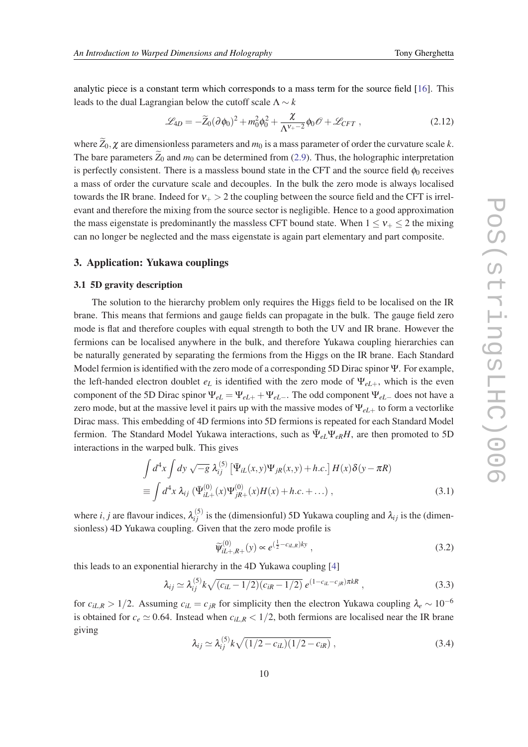<span id="page-9-0"></span>analytic piece is a constant term which corresponds to a mass term for the source field [[16\]](#page-12-0). This leads to the dual Lagrangian below the cutoff scale  $\Lambda \sim k$ 

$$
\mathcal{L}_{4D} = -\widetilde{Z}_0(\partial \phi_0)^2 + m_0^2 \phi_0^2 + \frac{\chi}{\Lambda^{\nu_+ - 2}} \phi_0 \mathcal{O} + \mathcal{L}_{CFT} , \qquad (2.12)
$$

where  $\widetilde{Z}_0$ ,  $\chi$  are dimensionless parameters and  $m_0$  is a mass parameter of order the curvature scale *k*. The bare parameters  $\widetilde{Z}_0$  and  $m_0$  can be determined from ([2.9](#page-8-0)). Thus, the holographic interpretation is perfectly consistent. There is a massless bound state in the CFT and the source field  $\phi_0$  receives a mass of order the curvature scale and decouples. In the bulk the zero mode is always localised towards the IR brane. Indeed for  $v_+ > 2$  the coupling between the source field and the CFT is irrelevant and therefore the mixing from the source sector is negligible. Hence to a good approximation the mass eigenstate is predominantly the massless CFT bound state. When  $1 \le v_{+} \le 2$  the mixing can no longer be neglected and the mass eigenstate is again part elementary and part composite.

#### 3. Application: Yukawa couplings

#### 3.1 5D gravity description

The solution to the hierarchy problem only requires the Higgs field to be localised on the IR brane. This means that fermions and gauge fields can propagate in the bulk. The gauge field zero mode is flat and therefore couples with equal strength to both the UV and IR brane. However the fermions can be localised anywhere in the bulk, and therefore Yukawa coupling hierarchies can be naturally generated by separating the fermions from the Higgs on the IR brane. Each Standard Model fermion is identified with the zero mode of a corresponding 5D Dirac spinor Ψ. For example, the left-handed electron doublet  $e_L$  is identified with the zero mode of  $\Psi_{eL+}$ , which is the even component of the 5D Dirac spinor  $\Psi_{eL} = \Psi_{eL+} + \Psi_{eL-}$ . The odd component  $\Psi_{eL-}$  does not have a zero mode, but at the massive level it pairs up with the massive modes of Ψ*eL*<sup>+</sup> to form a vectorlike Dirac mass. This embedding of 4D fermions into 5D fermions is repeated for each Standard Model fermion. The Standard Model Yukawa interactions, such as  $\bar{\Psi}_{eL}\Psi_{eR}H$ , are then promoted to 5D interactions in the warped bulk. This gives

$$
\int d^4x \int dy \sqrt{-g} \,\lambda_{ij}^{(5)} \left[ \bar{\Psi}_{iL}(x, y) \Psi_{jR}(x, y) + h.c. \right] H(x) \delta(y - \pi R)
$$
\n
$$
\equiv \int d^4x \,\lambda_{ij} \left( \bar{\Psi}_{iL+}^{(0)}(x) \Psi_{jR+}^{(0)}(x) H(x) + h.c. + \dots \right), \tag{3.1}
$$

where *i*, *j* are flavour indices,  $\lambda_{ij}^{(5)}$  is the (dimensionful) 5D Yukawa coupling and  $\lambda_{ij}$  is the (dimensionless) 4D Yukawa coupling. Given that the zero mode profile is

$$
\widetilde{\psi}_{iL+,R+}^{(0)}(y) \propto e^{\left(\frac{1}{2} - c_{iL,R}\right)ky} \,, \tag{3.2}
$$

this leads to an exponential hierarchy in the 4D Yukawa coupling [\[4](#page-12-0)]

$$
\lambda_{ij} \simeq \lambda_{ij}^{(5)} k \sqrt{(c_{iL} - 1/2)(c_{iR} - 1/2)} \, e^{(1 - c_{iL} - c_{jR}) \pi kR} \,, \tag{3.3}
$$

for  $c_{iL,R} > 1/2$ . Assuming  $c_{iL} = c_{jR}$  for simplicity then the electron Yukawa coupling  $\lambda_e \sim 10^{-6}$ is obtained for  $c_e \simeq 0.64$ . Instead when  $c_{iLR} < 1/2$ , both fermions are localised near the IR brane giving

$$
\lambda_{ij} \simeq \lambda_{ij}^{(5)} k \sqrt{(1/2 - c_{iL})(1/2 - c_{iR})} \,, \tag{3.4}
$$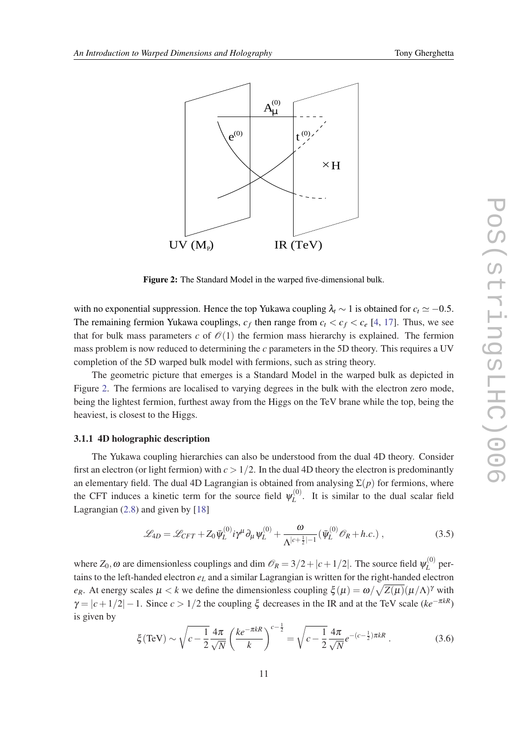<span id="page-10-0"></span>

Figure 2: The Standard Model in the warped five-dimensional bulk.

with no exponential suppression. Hence the top Yukawa coupling  $\lambda_t \sim 1$  is obtained for  $c_t \simeq -0.5$ . The remaining fermion Yukawa couplings,  $c_f$  then range from  $c_t < c_f < c_e$  [[4](#page-12-0), [17\]](#page-12-0). Thus, we see that for bulk mass parameters *c* of  $\mathcal{O}(1)$  the fermion mass hierarchy is explained. The fermion mass problem is now reduced to determining the *c* parameters in the 5D theory. This requires a UV completion of the 5D warped bulk model with fermions, such as string theory.

The geometric picture that emerges is a Standard Model in the warped bulk as depicted in Figure 2. The fermions are localised to varying degrees in the bulk with the electron zero mode, being the lightest fermion, furthest away from the Higgs on the TeV brane while the top, being the heaviest, is closest to the Higgs.

#### 3.1.1 4D holographic description

The Yukawa coupling hierarchies can also be understood from the dual 4D theory. Consider first an electron (or light fermion) with  $c > 1/2$ . In the dual 4D theory the electron is predominantly an elementary field. The dual 4D Lagrangian is obtained from analysing  $\Sigma(p)$  for fermions, where the CFT induces a kinetic term for the source field  $\psi_L^{(0)}$  $L<sup>(0)</sup>$ . It is similar to the dual scalar field Lagrangian [\(2.8](#page-8-0)) and given by [[18\]](#page-12-0)

$$
\mathcal{L}_{4D} = \mathcal{L}_{CFT} + Z_0 \bar{\psi}_L^{(0)} i\gamma^\mu \partial_\mu \psi_L^{(0)} + \frac{\omega}{\Lambda^{|c+\frac{1}{2}|-1}} (\bar{\psi}_L^{(0)} \mathcal{O}_R + h.c.) ,
$$
 (3.5)

where  $Z_0$ ,  $\omega$  are dimensionless couplings and dim  $\mathcal{O}_R = 3/2 + |c + 1/2|$ . The source field  $\psi_L^{(0)}$  $L^{(0)}$  pertains to the left-handed electron *e<sup>L</sup>* and a similar Lagrangian is written for the right-handed electron *e<sub>R</sub>*. At energy scales  $\mu < k$  we define the dimensionless coupling  $\xi(\mu) = \omega / \sqrt{Z(\mu)} (\mu / \Lambda)^{\gamma}$  with  $\gamma = |c+1/2| - 1$ . Since  $c > 1/2$  the coupling  $\xi$  decreases in the IR and at the TeV scale ( $ke^{-\pi kR}$ ) is given by

$$
\xi(\text{TeV}) \sim \sqrt{c - \frac{1}{2} \frac{4\pi}{\sqrt{N}} \left(\frac{ke^{-\pi k R}}{k}\right)^{c - \frac{1}{2}}} = \sqrt{c - \frac{1}{2} \frac{4\pi}{\sqrt{N}}} e^{-(c - \frac{1}{2})\pi k R} \,. \tag{3.6}
$$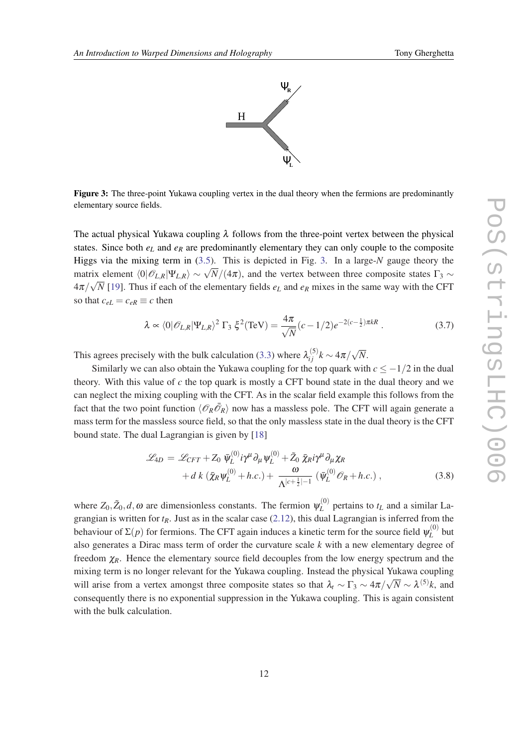

Figure 3: The three-point Yukawa coupling vertex in the dual theory when the fermions are predominantly elementary source fields.

The actual physical Yukawa coupling  $\lambda$  follows from the three-point vertex between the physical states. Since both  $e_L$  and  $e_R$  are predominantly elementary they can only couple to the composite Higgs via the mixing term in ([3.5](#page-10-0)). This is depicted in Fig. 3. In a large-*N* gauge theory the matrix element  $\langle 0 | \mathcal{O}_{L,R} | \Psi_{L,R} \rangle \sim \sqrt{N}/(4\pi)$ , and the vertex between three composite states Γ<sub>3</sub> ∼  $4\pi/\sqrt{N}$  [[19](#page-12-0)]. Thus if each of the elementary fields  $e_L$  and  $e_R$  mixes in the same way with the CFT so that  $c_{eL} = c_{eR} \equiv c$  then

$$
\lambda \propto \langle 0|\mathscr{O}_{L,R}|\Psi_{L,R}\rangle^2 \Gamma_3 \xi^2(\text{TeV}) = \frac{4\pi}{\sqrt{N}}(c-1/2)e^{-2(c-\frac{1}{2})\pi kR}.
$$
 (3.7)

This agrees precisely with the bulk calculation [\(3.3](#page-9-0)) where  $\lambda_{ij}^{(5)} k \sim 4\pi/3$ √ *N*.

Similarly we can also obtain the Yukawa coupling for the top quark with  $c \le -1/2$  in the dual theory. With this value of *c* the top quark is mostly a CFT bound state in the dual theory and we can neglect the mixing coupling with the CFT. As in the scalar field example this follows from the fact that the two point function  $\langle \mathcal{O}_R \bar{\mathcal{O}}_R \rangle$  now has a massless pole. The CFT will again generate a mass term for the massless source field, so that the only massless state in the dual theory is the CFT bound state. The dual Lagrangian is given by [[18\]](#page-12-0)

$$
\mathcal{L}_{4D} = \mathcal{L}_{CFT} + Z_0 \, \bar{\psi}_L^{(0)} i\gamma^\mu \partial_\mu \psi_L^{(0)} + \tilde{Z}_0 \, \bar{\chi}_R i\gamma^\mu \partial_\mu \chi_R + d \, k \left( \bar{\chi}_R \psi_L^{(0)} + h.c. \right) + \frac{\omega}{\Lambda^{|c + \frac{1}{2}| - 1}} \left( \bar{\psi}_L^{(0)} \mathcal{O}_R + h.c. \right) ,
$$
(3.8)

where  $Z_0$ , $\tilde{Z}_0$ ,  $d$ ,  $\omega$  are dimensionless constants. The fermion  $\psi_L^{(0)}$  $L^{(0)}$  pertains to  $t_L$  and a similar Lagrangian is written for *tR*. Just as in the scalar case ([2.12](#page-9-0)), this dual Lagrangian is inferred from the behaviour of  $\Sigma(p)$  for fermions. The CFT again induces a kinetic term for the source field  $\psi_L^{(0)}$  $L^{(0)}$  but also generates a Dirac mass term of order the curvature scale *k* with a new elementary degree of freedom  $\chi_R$ . Hence the elementary source field decouples from the low energy spectrum and the mixing term is no longer relevant for the Yukawa coupling. Instead the physical Yukawa coupling will arise from a vertex amongst three composite states so that  $\lambda_t \sim \Gamma_3 \sim 4\pi/\sqrt{N} \sim \lambda^{(5)}k$ , and consequently there is no exponential suppression in the Yukawa coupling. This is again consistent with the bulk calculation.